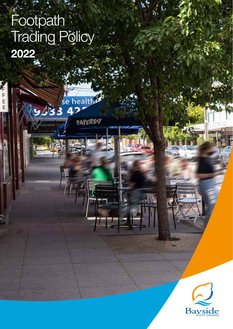# **Footpath** Trading Policy **2022**

E

河川

se health

RAPERBOY

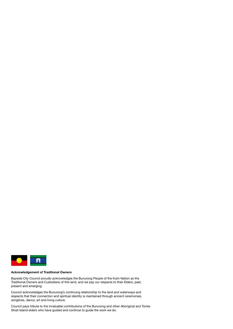

#### **Acknowledgement of Traditional Owners**

Bayside City Council proudly acknowledges the Bunurong People of the Kulin Nation as the Traditional Owners and Custodians of this land, and we pay our respects to their Elders, past, present and emerging.

Council acknowledges the Bunurong's continuing relationship to the land and waterways and respects that their connection and spiritual identity is maintained through ancient ceremonies, songlines, dance, art and living culture.

Council pays tribute to the invaluable contributions of the Bunurong and other Aboriginal and Torres Strait Island elders who have guided and continue to guide the work we do.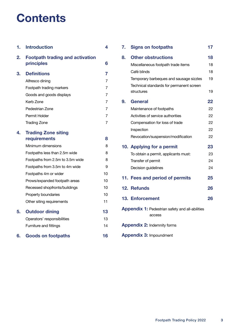# **Contents**

| 1. | <b>Introduction</b>                                  | 4              |
|----|------------------------------------------------------|----------------|
| 2. | <b>Footpath trading and activation</b><br>principles | 6              |
| 3. | <b>Definitions</b>                                   | 7              |
|    | Alfresco dining                                      | $\overline{7}$ |
|    | Footpath trading markers                             | 7              |
|    | Goods and goods displays                             | $\overline{7}$ |
|    | Kerb Zone                                            | $\overline{7}$ |
|    | Pedestrian Zone                                      | 7              |
|    | Permit Holder                                        | $\overline{7}$ |
|    | <b>Trading Zone</b>                                  | 7              |
| 4. | <b>Trading Zone siting</b>                           |                |
|    | requirements                                         | 8              |
|    | Minimum dimensions                                   | 8              |
|    | Footpaths less than 2.5m wide                        | 8              |
|    | Footpaths from 2.5m to 3.5m wide                     | 8              |
|    | Footpaths from 3.5m to 4m wide                       | 9              |
|    | Footpaths 4m or wider                                | 10             |
|    | Prows/expanded footpath areas                        | 10             |
|    | Recessed shopfronts/buildings                        | 10             |
|    | Property boundaries                                  | 10             |
|    | Other siting requirements                            | 11             |
| 5. | <b>Outdoor dining</b>                                | 13             |
|    | Operators' responsibilities                          | 13             |
|    | Furniture and fittings                               | 14             |
| 6. | <b>Goods on footpaths</b>                            | 16             |

| 7. | <b>Signs on footpaths</b>                                        | 17 |
|----|------------------------------------------------------------------|----|
| 8. | <b>Other obstructions</b>                                        | 18 |
|    | Miscellaneous footpath trade items                               | 18 |
|    | Café blinds                                                      | 18 |
|    | Temporary barbeques and sausage sizzles                          | 19 |
|    | Technical standards for permanent screen<br>structures           | 19 |
| 9. | <b>General</b>                                                   | 22 |
|    | Maintenance of footpaths                                         | 22 |
|    | Activities of service authorities                                | 22 |
|    | Compensation for loss of trade                                   | 22 |
|    | Inspection                                                       | 22 |
|    | Revocation/suspension/modification                               | 22 |
|    | 10. Applying for a permit                                        | 23 |
|    | To obtain a permit, applicants must:                             | 23 |
|    | Transfer of permit                                               | 24 |
|    | Decision guidelines                                              | 24 |
|    | 11. Fees and period of permits                                   | 25 |
|    | 12. Refunds                                                      | 26 |
|    | <b>13. Enforcement</b>                                           | 26 |
|    | <b>Appendix 1: Pedestrian safety and all-abilities</b><br>access |    |
|    | <b>Appendix 2: Indemnity forms</b>                               |    |
|    | <b>Appendix 3: Impoundment</b>                                   |    |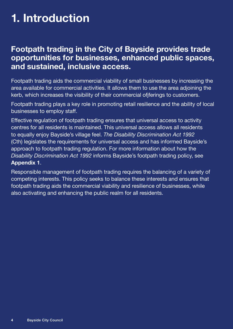# **1. Introduction**

# **Footpath trading in the City of Bayside provides trade opportunities for businesses, enhanced public spaces, and sustained, inclusive access.**

Footpath trading aids the commercial viability of small businesses by increasing the area available for commercial activities. It allows them to use the area adjoining the kerb, which increases the visibility of their commercial ofjferings to customers.

Footpath trading plays a key role in promoting retail resilience and the ability of local businesses to employ staff.

Effective regulation of footpath trading ensures that universal access to activity centres for all residents is maintained. This universal access allows all residents to equally enjoy Bayside's village feel. *The Disability Discrimination Act 1992* (Cth) legislates the requirements for universal access and has informed Bayside's approach to footpath trading regulation. For more information about how the *Disability Discrimination Act 1992* informs Bayside's footpath trading policy, see **Appendix 1**.

Responsible management of footpath trading requires the balancing of a variety of competing interests. This policy seeks to balance these interests and ensures that footpath trading aids the commercial viability and resilience of businesses, while also activating and enhancing the public realm for all residents.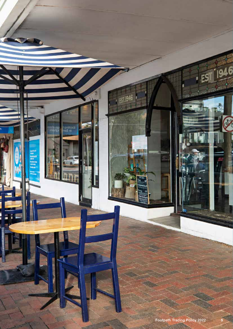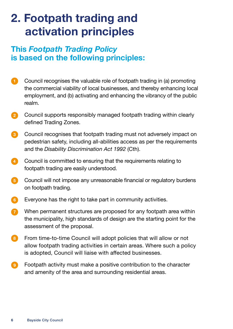# **2. Footpath trading and activation principles**

# **This** *Footpath Trading Policy* **is based on the following principles:**

- **1** Council recognises the valuable role of footpath trading in (a) promoting the commercial viability of local businesses, and thereby enhancing local employment, and (b) activating and enhancing the vibrancy of the public realm.
- **2** Council supports responsibly managed footpath trading within clearly defined Trading Zones.
- **3** Council recognises that footpath trading must not adversely impact on pedestrian safety, including all-abilities access as per the requirements and the *Disability Discrimination Act 1992* (Cth).
- **4** Council is committed to ensuring that the requirements relating to footpath trading are easily understood.
- **5** Council will not impose any unreasonable financial or regulatory burdens on footpath trading.
- **6** Everyone has the right to take part in community activities.
- **7** When permanent structures are proposed for any footpath area within the municipality, high standards of design are the starting point for the assessment of the proposal.
- **8** From time-to-time Council will adopt policies that will allow or not allow footpath trading activities in certain areas. Where such a policy is adopted, Council will liaise with affected businesses.
- **9** Footpath activity must make a positive contribution to the character and amenity of the area and surrounding residential areas.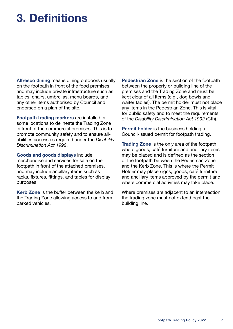# **3. Definitions**

**Alfresco dining** means dining outdoors usually on the footpath in front of the food premises and may include private infrastructure such as tables, chairs, umbrellas, menu boards, and any other items authorised by Council and endorsed on a plan of the site.

**Footpath trading markers** are installed in some locations to delineate the Trading Zone in front of the commercial premises. This is to promote community safety and to ensure allabilities access as required under the *Disability Discrimination Act 1992*.

**Goods and goods displays** include merchandise and services for sale on the footpath in front of the attached premises, and may include ancillary items such as racks, fixtures, fittings, and tables for display purposes.

**Kerb Zone** is the buffer between the kerb and the Trading Zone allowing access to and from parked vehicles.

**Pedestrian Zone** is the section of the footpath between the property or building line of the premises and the Trading Zone and must be kept clear of all items (e.g., dog bowls and waiter tables). The permit holder must not place any items in the Pedestrian Zone. This is vital for public safety and to meet the requirements of the *Disability Discrimination Act 1992* (Cth).

**Permit holder** is the business holding a Council-issued permit for footpath trading.

**Trading Zone** is the only area of the footpath where goods, café furniture and ancillary items may be placed and is defined as the section of the footpath between the Pedestrian Zone and the Kerb Zone. This is where the Permit Holder may place signs, goods, café furniture and ancillary items approved by the permit and where commercial activities may take place.

Where premises are adjacent to an intersection, the trading zone must not extend past the building line.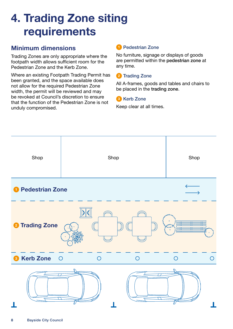# **4. Trading Zone siting requirements**

# **Minimum dimensions**

Trading Zones are only appropriate where the footpath width allows sufficient room for the Pedestrian Zone and the Kerb Zone.

Where an existing Footpath Trading Permit has been granted, and the space available does not allow for the required Pedestrian Zone width, the permit will be reviewed and may be revoked at Council's discretion to ensure that the function of the Pedestrian Zone is not unduly compromised.

### **1** Pedestrian Zone

No furniture, signage or displays of goods are permitted within the pedestrian zone at any time.

#### **2** Trading Zone

All A-frames, goods and tables and chairs to be placed in the trading zone.

### **3** Kerb Zone

Keep clear at all times.

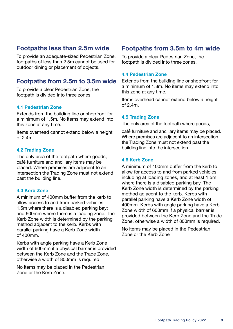### **Footpaths less than 2.5m wide**

To provide an adequate-sized Pedestrian Zone, footpaths of less than 2.5m cannot be used for outdoor dining or placement of objects.

### **Footpaths from 2.5m to 3.5m wide**

To provide a clear Pedestrian Zone, the footpath is divided into three zones.

#### **4.1 Pedestrian Zone**

Extends from the building line or shopfront for a minimum of 1.5m. No items may extend into this zone at any time.

Items overhead cannot extend below a height of 2.4m

#### **4.2 Trading Zone**

The only area of the footpath where goods, café furniture and ancillary items may be placed. Where premises are adjacent to an intersection the Trading Zone must not extend past the building line.

#### **4.3 Kerb Zone**

A minimum of 400mm buffer from the kerb to allow access to and from parked vehicles; 1.5m where there is a disabled parking bay; and 600mm where there is a loading zone. The Kerb Zone width is determined by the parking method adjacent to the kerb. Kerbs with parallel parking have a Kerb Zone width of 400mm.

Kerbs with angle parking have a Kerb Zone width of 600mm if a physical barrier is provided between the Kerb Zone and the Trade Zone, otherwise a width of 800mm is required.

No items may be placed in the Pedestrian Zone or the Kerb Zone.

### **Footpaths from 3.5m to 4m wide**

To provide a clear Pedestrian Zone, the footpath is divided into three zones.

#### **4.4 Pedestrian Zone**

Extends from the building line or shopfront for a minimum of 1.8m. No items may extend into this zone at any time.

Items overhead cannot extend below a height of 2.4m.

#### **4.5 Trading Zone**

The only area of the footpath where goods,

café furniture and ancillary items may be placed. Where premises are adjacent to an intersection the Trading Zone must not extend past the building line into the intersection.

#### **4.6 Kerb Zone**

A minimum of 400mm buffer from the kerb to allow for access to and from parked vehicles including at loading zones, and at least 1.5m where there is a disabled parking bay. The Kerb Zone width is determined by the parking method adjacent to the kerb. Kerbs with parallel parking have a Kerb Zone width of 400mm. Kerbs with angle parking have a Kerb Zone width of 600mm if a physical barrier is provided between the Kerb Zone and the Trade Zone, otherwise a width of 800mm is required.

No items may be placed in the Pedestrian Zone or the Kerb Zone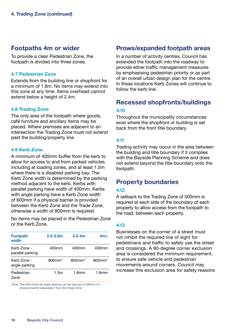### **Footpaths 4m or wider**

To provide a clear Pedestrian Zone, the footpath is divided into three zones.

#### **4.7 Pedestrian Zone**

Extends from the building line or shopfront for a minimum of 1.8m. No items may extend into this zone at any time. Items overhead cannot extend below a height of 2.4m.

#### **4.8 Trading Zone**

The only area of the footpath where goods, café furniture and ancillary items may be placed. Where premises are adjacent to an intersection the Trading Zone must not extend past the building/property line.

#### **4.9 Kerb Zone**

A minimum of 400mm buffer from the kerb to allow for access to and from parked vehicles including at loading zones, and at least 1.5m where there is a disabled parking bay. The Kerb Zone width is determined by the parking method adjacent to the kerb. Kerbs with parallel parking have width of 400mm. Kerbs with angle parking have a Kerb Zone width of 600mm if a physical barrier is provided between the Kerb Zone and the Trade Zone, otherwise a width of 800mm is required.

No items may be placed in the Pedestrian Zone or the Kerb Zone.

| <b>Footpath</b><br>width        | $2.5 - 3.5m$          | $3.5 - 4m$            | 4m+                   |
|---------------------------------|-----------------------|-----------------------|-----------------------|
| Kerb Zone -<br>parallel parking | 400mm                 | 400mm                 | $400$ mm              |
| Kerb Zone -<br>angle parking    | $800$ mm <sup>*</sup> | $800$ mm <sup>*</sup> | $800$ mm <sup>*</sup> |
| Pedestrian<br>Zone              | 1.5m                  | 1.8 <sub>mm</sub>     | 1.8 <sub>mm</sub>     |

\*Note: The Kerb Zone for angle parking can be reduced to 600mm if a physical barrier separates it from the Trade Zone.

### **Prows/expanded footpath areas**

In a number of activity centres, Council has extended the footpath into the roadway to provide either traffic management measures by emphasising pedestrian priority or as part of an overall urban design plan for the centre. In these locations Kerb Zones will continue to follow the kerb line.

# **Recessed shopfronts/buildings 4.10**

Throughout the municipality circumstances exist where the shopfront or building is set back from the front title boundary.

#### **4.11**

Trading activity may occur in the area between the building and title boundary if it complies with the Bayside Planning Scheme and does not extend beyond the title boundary onto the footpath.

### **Property boundaries**

#### **4.12**

A setback to the Trading Zone of 500mm is required at each side of the boundary of each property to allow access from the footpath to the road, between each property.

#### **4.13**

Businesses on the corner of a street must not inhibit the required line of sight for pedestrians and traffic to safely use the street and crossings. A 90-degree corner exclusion area is considered the minimum requirement, to ensure safe vehicle and pedestrian movements around corners. Council may increase this exclusion area for safety reasons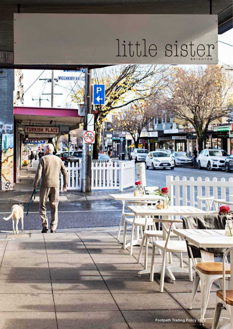# little sister

WILLANSBY

Ħ

**Footpath Trading Policy 2** 

瑞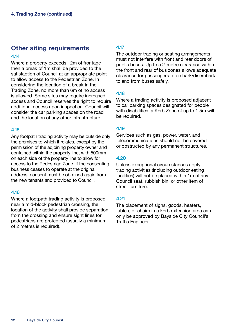### **Other siting requirements**

#### **4.14**

Where a property exceeds 12m of frontage then a break of 1m shall be provided to the satisfaction of Council at an appropriate point to allow access to the Pedestrian Zone. In considering the location of a break in the Trading Zone, no more than 6m of no access is allowed. Some sites may require increased access and Council reserves the right to require additional access upon inspection. Council will consider the car parking spaces on the road and the location of any other infrastructure.

#### **4.15**

Any footpath trading activity may be outside only the premises to which it relates, except by the permission of the adjoining property owner and contained within the property line, with 500mm on each side of the property line to allow for access to the Pedestrian Zone. If the consenting business ceases to operate at the original address, consent must be obtained again from the new tenants and provided to Council.

#### **4.16**

Where a footpath trading activity is proposed near a mid-block pedestrian crossing, the location of the activity shall provide separation from the crossing and ensure sight lines for pedestrians are protected (usually a minimum of 2 metres is required).

#### **4.17**

The outdoor trading or seating arrangements must not interfere with front and rear doors of public buses. Up to a 2-metre clearance within the front and rear of bus zones allows adequate clearance for passengers to embark/disembark to and from buses safely.

#### **4.18**

Where a trading activity is proposed adjacent to car parking spaces designated for people with disabilities, a Kerb Zone of up to 1.5m will be required.

#### **4.19**

Services such as gas, power, water, and telecommunications should not be covered or obstructed by any permanent structures.

#### **4.20**

Unless exceptional circumstances apply, trading activities (including outdoor eating facilities) will not be placed within 1m of any Council seat, rubbish bin, or other item of street furniture.

#### **4.21**

The placement of signs, goods, heaters, tables, or chairs in a kerb extension area can only be approved by Bayside City Council's Traffic Engineer.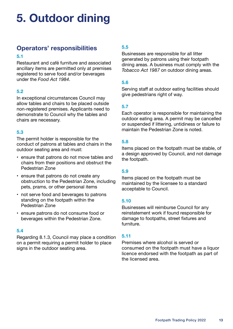# **5. Outdoor dining**

# **Operators' responsibilities**

#### **5.1**

Restaurant and café furniture and associated ancillary items are permitted only at premises registered to serve food and/or beverages under the *Food Act 1984*.

#### **5.2**

In exceptional circumstances Council may allow tables and chairs to be placed outside non-registered premises. Applicants need to demonstrate to Council why the tables and chairs are necessary.

#### **5.3**

The permit holder is responsible for the conduct of patrons at tables and chairs in the outdoor seating area and must:

- • ensure that patrons do not move tables and chairs from their positions and obstruct the Pedestrian Zone
- ensure that patrons do not create any obstruction to the Pedestrian Zone, including pets, prams, or other personal items
- not serve food and beverages to patrons standing on the footpath within the Pedestrian Zone
- • ensure patrons do not consume food or beverages within the Pedestrian Zone.

#### **5.4**

Regarding 8.1.3, Council may place a condition on a permit requiring a permit holder to place signs in the outdoor seating area.

#### **5.5**

Businesses are responsible for all litter generated by patrons using their footpath dining areas. A business must comply with the *Tobacco Act 1987* on outdoor dining areas.

#### **5.6**

Serving staff at outdoor eating facilities should give pedestrians right of way.

#### **5.7**

Each operator is responsible for maintaining the outdoor eating area. A permit may be cancelled or suspended if littering, untidiness or failure to maintain the Pedestrian Zone is noted.

#### **5.8**

Items placed on the footpath must be stable, of a design approved by Council, and not damage the footpath.

#### **5.9**

Items placed on the footpath must be maintained by the licensee to a standard acceptable to Council.

#### **5.10**

Businesses will reimburse Council for any reinstatement work if found responsible for damage to footpaths, street fixtures and furniture.

#### **5.11**

Premises where alcohol is served or consumed on the footpath must have a liquor licence endorsed with the footpath as part of the licensed area.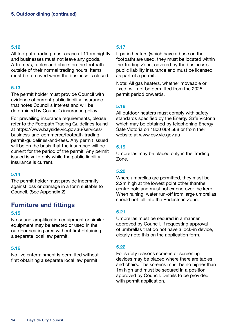#### **5.12**

All footpath trading must cease at 11pm nightly and businesses must not leave any goods, A-frame/s, tables and chairs on the footpath outside of their normal trading hours. Items must be removed when the business is closed.

#### **5.13**

The permit holder must provide Council with evidence of current public liability insurance that notes Council's interest and will be determined by Council's insurance policy.

For prevailing insurance requirements, please refer to the Footpath Trading Guidelines found at https://www.bayside.vic.gov.au/services/ business-and-commerce/footpath-tradingpermit-guidelines-and-fees. Any permit issued will be on the basis that the insurance will be current for the period of the permit. Any permit issued is valid only while the public liability insurance is current.

#### **5.14**

The permit holder must provide indemnity against loss or damage in a form suitable to Council. (See Appendix 2)

### **Furniture and fittings**

#### **5.15**

No sound-amplification equipment or similar equipment may be erected or used in the outdoor seating area without first obtaining a separate local law permit.

#### **5.16**

No live entertainment is permitted without first obtaining a separate local law permit.

#### **5.17**

If patio heaters (which have a base on the footpath) are used, they must be located within the Trading Zone, covered by the business's public liability insurance and must be licensed as part of a permit.

Note: All gas heaters, whether moveable or fixed, will not be permitted from the 2025 permit period onwards.

#### **5.18**

All outdoor heaters must comply with safety standards specified by the Energy Safe Victoria which may be obtained by telephoning Energy Safe Victoria on 1800 069 588 or from their website at www.esv.vic.gov.au

#### **5.19**

Umbrellas may be placed only in the Trading Zone.

#### **5.20**

Where umbrellas are permitted, they must be 2.2m high at the lowest point other thanthe centre pole and must not extend over the kerb. When raining, water run-off from large umbrellas should not fall into the Pedestrian Zone.

#### **5.21**

Umbrellas must be secured in a manner approved by Council. If requesting approval of umbrellas that do not have a lock-in device, clearly note this on the application form.

#### **5.22**

For safety reasons screens or screening devices may be placed where there are tables and chairs. The screens must be no higher than 1m high and must be secured in a position approved by Council. Details to be provided with permit application.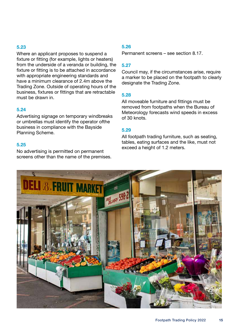#### **5.23**

Where an applicant proposes to suspend a fixture or fitting (for example, lights or heaters) from the underside of a veranda or building, the fixture or fitting is to be attached in accordance with appropriate engineering standards and have a minimum clearance of 2.4m above the Trading Zone. Outside of operating hours of the business, fixtures or fittings that are retractable must be drawn in.

#### **5.24**

Advertising signage on temporary windbreaks or umbrellas must identify the operator ofthe business in compliance with the Bayside Planning Scheme.

#### **5.25**

No advertising is permitted on permanent screens other than the name of the premises.

#### **5.26**

Permanent screens – see section 8.17.

#### **5.27**

Council may, if the circumstances arise, require a marker to be placed on the footpath to clearly designate the Trading Zone.

#### **5.28**

All moveable furniture and fittings must be removed from footpaths when the Bureau of Meteorology forecasts wind speeds in excess of 30 knots.

#### **5.29**

All footpath trading furniture, such as seating, tables, eating surfaces and the like, must not exceed a height of 1.2 meters.

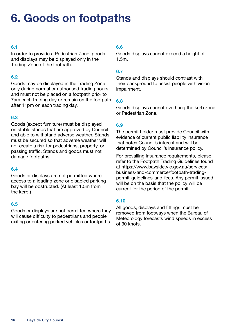# **6. Goods on footpaths**

#### **6.1**

In order to provide a Pedestrian Zone, goods and displays may be displayed only in the Trading Zone of the footpath.

#### **6.2**

Goods may be displayed in the Trading Zone only during normal or authorised trading hours, and must not be placed on a footpath prior to 7am each trading day or remain on the footpath after 11pm on each trading day.

#### **6.3**

Goods (except furniture) must be displayed on stable stands that are approved by Council and able to withstand adverse weather. Stands must be secured so that adverse weather will not create a risk for pedestrians, property, or passing traffic. Stands and goods must not damage footpaths.

#### **6.4**

Goods or displays are not permitted where access to a loading zone or disabled parking bay will be obstructed. (At least 1.5m from the kerb.)

#### **6.5**

Goods or displays are not permitted where they will cause difficulty to pedestrians and people exiting or entering parked vehicles or footpaths.

#### **6.6**

Goods displays cannot exceed a height of 1.5m.

#### **6.7**

Stands and displays should contrast with their background to assist people with vision impairment.

#### **6.8**

Goods displays cannot overhang the kerb zone or Pedestrian Zone.

#### **6.9**

The permit holder must provide Council with evidence of current public liability insurance that notes Council's interest and will be determined by Council's insurance policy.

For prevailing insurance requirements, please refer to the Footpath Trading Guidelines found at https://www.bayside.vic.gov.au/services/ business-and-commerce/footpath-tradingpermit-guidelines-and-fees. Any permit issued will be on the basis that the policy will be current for the period of the permit.

#### **6.10**

All goods, displays and fittings must be removed from footways when the Bureau of Meteorology forecasts wind speeds in excess of 30 knots.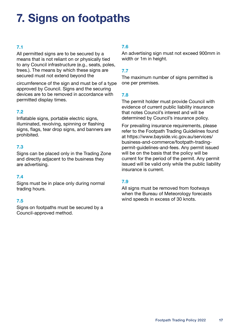# **7. Signs on footpaths**

#### **7.1**

All permitted signs are to be secured by a means that is not reliant on or physically tied to any Council infrastructure (e.g., seats, poles, trees.). The means by which these signs are secured must not extend beyond the

circumference of the sign and must be of a type approved by Council. Signs and the securing devices are to be removed in accordance with permitted display times.

#### **7.2**

Inflatable signs, portable electric signs, illuminated, revolving, spinning or flashing signs, flags, tear drop signs, and banners are prohibited.

#### **7.3**

Signs can be placed only in the Trading Zone and directly adjacent to the business they are advertising.

#### **7.4**

Signs must be in place only during normal trading hours.

#### **7.5**

Signs on footpaths must be secured by a Council-approved method.

#### **7.6**

An advertising sign must not exceed 900mm in width or 1m in height.

#### **7.7**

The maximum number of signs permitted is one per premises.

#### **7.8**

The permit holder must provide Council with evidence of current public liability insurance that notes Council's interest and will be determined by Council's insurance policy.

For prevailing insurance requirements, please refer to the Footpath Trading Guidelines found at https://www.bayside.vic.gov.au/services/ business-and-commerce/footpath-tradingpermit-guidelines-and-fees. Any permit issued will be on the basis that the policy will be current for the period of the permit. Any permit issued will be valid only while the public liability insurance is current.

#### **7.9**

All signs must be removed from footways when the Bureau of Meteorology forecasts wind speeds in excess of 30 knots.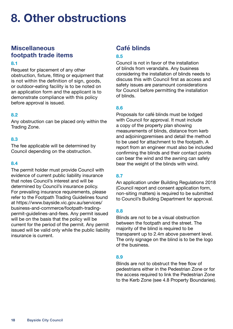# **8. Other obstructions**

# **Miscellaneous footpath trade items**

#### **8.1**

Request for placement of any other obstruction, fixture, fitting or equipment that is not within the definition of sign, goods, or outdoor-eating facility is to be noted on an application form and the applicant is to demonstrate compliance with this policy before approval is issued.

#### **8.2**

Any obstruction can be placed only within the Trading Zone.

#### **8.3**

The fee applicable will be determined by Council depending on the obstruction.

#### **8.4**

The permit holder must provide Council with evidence of current public liability insurance that notes Council's interest and will be determined by Council's insurance policy. For prevailing insurance requirements, please refer to the Footpath Trading Guidelines found at https://www.bayside.vic.gov.au/services/ business-and-commerce/footpath-tradingpermit-guidelines-and-fees. Any permit issued will be on the basis that the policy will be current for the period of the permit. Any permit issued will be valid only while the public liability insurance is current.

# **Café blinds**

#### **8.5**

Council is not in favor of the installation of blinds from verandahs. Any business considering the installation of blinds needs to discuss this with Council first as access and safety issues are paramount considerations for Council before permitting the installation of blinds.

#### **8.6**

Proposals for café blinds must be lodged with Council for approval. It must include a copy of the property plan showing measurements of blinds, distance from kerb and adjoiningpremises and detail the method to be used for attachment to the footpath. A report from an engineer must also be included confirming the blinds and their contact points can bear the wind and the awning can safely bear the weight of the blinds with wind.

#### **8.7**

An application under Building Regulations 2018 (Council report and consent application form, non-siting matters) is required to be submitted to Council's Building Department for approval.

#### **8.8**

Blinds are not to be a visual obstruction between the footpath and the street. The majority of the blind is required to be transparent up to 2.4m above pavement level. The only signage on the blind is to be the logo of the business.

#### **8.9**

Blinds are not to obstruct the free flow of pedestrians either in the Pedestrian Zone or for the access required to link the Pedestrian Zone to the Kerb Zone (see 4.8 Property Boundaries).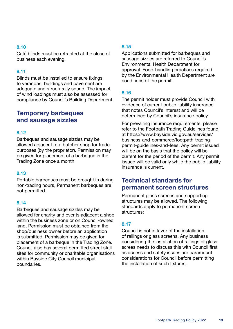#### **8.10**

Café blinds must be retracted at the close of business each evening.

#### **8.11**

Blinds must be installed to ensure fixings to verandas, buildings and pavement are adequate and structurally sound. The impact of wind loadings must also be assessed for compliance by Council's Building Department.

### **Temporary barbeques and sausage sizzles**

#### **8.12**

Barbeques and sausage sizzles may be allowed adjacent to a butcher shop for trade purposes (by the proprietor). Permission may be given for placement of a barbeque in the Trading Zone once a month.

#### **8.13**

Portable barbeques must be brought in during non-trading hours, Permanent barbeques are not permitted.

#### **8.14**

Barbeques and sausage sizzles may be allowed for charity and events adjacent a shop within the business zone or on Council-owned land. Permission must be obtained from the shop/business owner before an application is submitted. Permission may be given for placement of a barbeque in the Trading Zone. Council also has several permitted street stall sites for community or charitable organisations within Bayside City Council municipal boundaries.

#### **8.15**

Applications submitted for barbeques and sausage sizzles are referred to Council's Environmental Health Department for approval. Food-handling practices required by the Environmental Health Department are conditions of the permit.

#### **8.16**

The permit holder must provide Council with evidence of current public liability insurance that notes Council's interest and will be determined by Council's insurance policy.

For prevailing insurance requirements, please refer to the Footpath Trading Guidelines found at https://www.bayside.vic.gov.au/services/ business-and-commerce/footpath-tradingpermit-guidelines-and-fees. Any permit issued will be on the basis that the policy will be current for the period of the permit. Any permit issued will be valid only while the public liability insurance is current.

### **Technical standards for permanent screen structures**

Permanent glass screens and supporting structures may be allowed. The following standards apply to permanent screen structures:

#### **8.17**

Council is not in favor of the installation of railings or glass screens. Any business considering the installation of railings or glass screes needs to discuss this with Council first as access and safety issues are paramount considerations for Council before permitting the installation of such fixtures.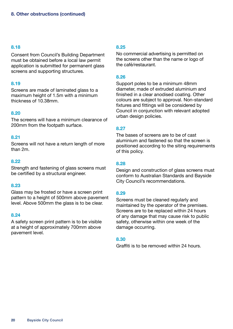#### **8.18**

Consent from Council's Building Department must be obtained before a local law permit application is submitted for permanent glass screens and supporting structures.

#### **8.19**

Screens are made of laminated glass to a maximum height of 1.5m with a minimum thickness of 10.38mm.

#### **8.20**

The screens will have a minimum clearance of 200mm from the footpath surface.

#### **8.21**

Screens will not have a return length of more than 2m.

#### **8.22**

Strength and fastening of glass screens must be certified by a structural engineer.

#### **8.23**

Glass may be frosted or have a screen print pattern to a height of 500mm above pavement level. Above 500mm the glass is to be clear.

#### **8.24**

A safety screen print pattern is to be visible at a height of approximately 700mm above pavement level.

#### **8.25**

No commercial advertising is permitted on the screens other than the name or logo of the café/restaurant.

#### **8.26**

Support poles to be a minimum 48mm diameter, made of extruded aluminium and finished in a clear anodised coating. Other colours are subject to approval. Non-standard fixtures and fittings will be considered by Council in conjunction with relevant adopted urban design policies.

#### **8.27**

The bases of screens are to be of cast aluminium and fastened so that the screen is positioned according to the siting requirements of this policy.

#### **8.28**

Design and construction of glass screens must conform to Australian Standards and Bayside City Council's recommendations.

#### **8.29**

Screens must be cleaned regularly and maintained by the operator of the premises. Screens are to be replaced within 24 hours of any damage that may cause risk to public safety, otherwise within one week of the damage occurring.

#### **8.30**

Graffiti is to be removed within 24 hours.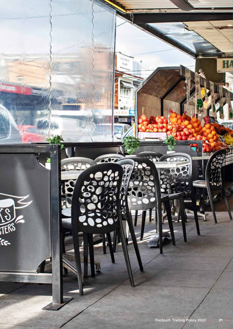

HA

Ò.

 $\overline{\mathcal{L}(\mathcal{E}_1)}$  $\epsilon_{\rm NL}$ 

 $\mathbb{R}$ 

 $0 - 0.0$ 

۹

TERS<sup>'</sup><br>FERS

W

四道

C

 $\bullet$ 

 $T\Box c$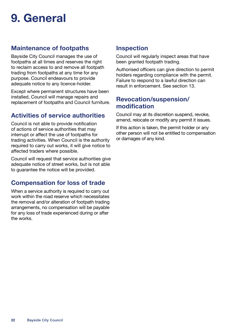# **9. General**

# **Maintenance of footpaths**

Bayside City Council manages the use of footpaths at all times and reserves the right to reclaim access to and remove all footpath trading from footpaths at any time for any purpose. Council endeavours to provide adequate notice to any licence-holder.

Except where permanent structures have been installed, Council will manage repairs and replacement of footpaths and Council furniture.

# **Activities of service authorities**

Council is not able to provide notification of actions of service authorities that may interrupt or affect the use of footpaths for trading activities. When Council is the authority required to carry out works, it will give notice to affected traders where possible.

Council will request that service authorities give adequate notice of street works, but is not able to guarantee the notice will be provided.

# **Compensation for loss of trade**

When a service authority is required to carry out work within the road reserve which necessitates the removal and/or alteration of footpath trading arrangements, no compensation will be payable for any loss of trade experienced during or after the works.

# **Inspection**

Council will regularly inspect areas that have been granted footpath trading.

Authorised officers can give direction to permit holders regarding compliance with the permit. Failure to respond to a lawful direction can result in enforcement. See section 13.

### **Revocation/suspension/ modification**

Council may at its discretion suspend, revoke, amend, relocate or modify any permit it issues.

If this action is taken, the permit holder or any other person will not be entitled to compensation or damages of any kind.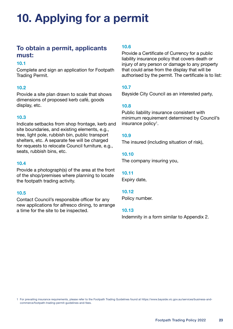# **10. Applying for a permit**

# **To obtain a permit, applicants must:**

#### **10.1**

Complete and sign an application for Footpath Trading Permit.

#### **10.2**

Provide a site plan drawn to scale that shows dimensions of proposed kerb café, goods display, etc.

#### **10.3**

Indicate setbacks from shop frontage, kerb and site boundaries, and existing elements, e.g., tree, light pole, rubbish bin, public transport shelters, etc. A separate fee will be charged for requests to relocate Council furniture, e.g., seats, rubbish bins, etc.

#### **10.4**

Provide a photograph(s) of the area at the front of the shop/premises where planning to locate the footpath trading activity.

#### **10.5**

Contact Council's responsible officer for any new applications for alfresco dining, to arrange a time for the site to be inspected.

#### **10.6**

Provide a Certificate of Currency for a public liability insurance policy that covers death or injury of any person or damage to any property that could arise from the display that will be authorised by the permit. The certificate is to list:

#### **10.7**

Bayside City Council as an interested party,

#### **10.8**

Public liability insurance consistent with minimum requirement determined by Council's insurance policy<sup>1</sup>.

#### **10.9**

The insured (including situation of risk),

#### **10.10**

The company insuring you,

#### **10.11**

Expiry date,

#### **10.12**

Policy number.

#### **10.13**

Indemnity in a form similar to Appendix 2.

1 For prevailing insurance requirements, please refer to the Footpath Trading Guidelines found at https://www.bayside.vic.gov.au/services/business-andcommerce/footpath-trading-permit-guidelines-and-fees.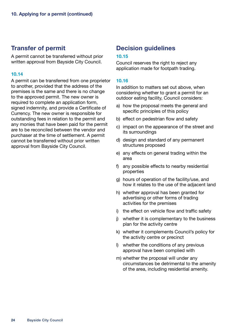### **Transfer of permit**

A permit cannot be transferred without prior written approval from Bayside City Council.

#### **10.14**

A permit can be transferred from one proprietor to another, provided that the address of the premises is the same and there is no change to the approved permit. The new owner is required to complete an application form, signed indemnity, and provide a Certificate of Currency. The new owner is responsible for outstanding fees in relation to the permit and any monies that have been paid for the permit are to be reconciled between the vendor and purchaser at the time of settlement. A permit cannot be transferred without prior written approval from Bayside City Council.

### **Decision guidelines**

#### **10.15**

Council reserves the right to reject any application made for footpath trading.

#### **10.16**

In addition to matters set out above, when considering whether to grant a permit for an outdoor eating facility, Council considers:

- a) how the proposal meets the general and specific principles of this policy
- b) effect on pedestrian flow and safety
- c) impact on the appearance of the street and its surroundings
- d) design and standard of any permanent structures proposed
- e) any effects on general trading within the area
- f) any possible effects to nearby residential properties
- g) hours of operation of the facility/use, and how it relates to the use of the adjacent land
- h) whether approval has been granted for advertising or other forms of trading activities for the premises
- i) the effect on vehicle flow and traffic safety
- j) whether it is complementary to the business plan for the activity centre
- k) whether it complements Council's policy for the activity centre or precinct
- l) whether the conditions of any previous approval have been complied with
- m) whether the proposal will under any circumstances be detrimental to the amenity of the area, including residential amenity.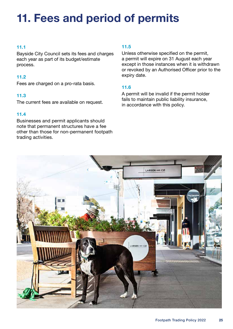# **11. Fees and period of permits**

#### **11.1**

Bayside City Council sets its fees and charges each year as part of its budget/estimate process.

#### **11.2**

Fees are charged on a pro-rata basis.

#### **11.3**

The current fees are available on request.

#### **11.4**

Businesses and permit applicants should note that permanent structures have a fee other than those for non-permanent footpath trading activities.

#### **11.5**

Unless otherwise specified on the permit, a permit will expire on 31 August each year except in those instances when it is withdrawn or revoked by an Authorised Officer prior to the expiry date.

#### **11.6**

A permit will be invalid if the permit holder fails to maintain public liability insurance, in accordance with this policy.

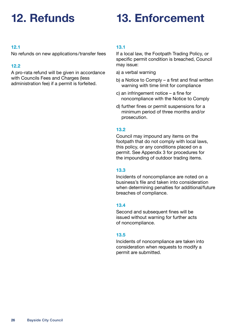# **12. Refunds 13. Enforcement**

#### **12.1**

No refunds on new applications/transfer fees

#### **12.2**

A pro-rata refund will be given in accordance with Councils Fees and Charges (less administration fee) if a permit is forfeited.

#### **13.1**

If a local law, the Footpath Trading Policy, or specific permit condition is breached, Council may issue:

- a) a verbal warning
- b) a Notice to Comply a first and final written warning with time limit for compliance
- c) an infringement notice a fine for noncompliance with the Notice to Comply
- d) further fines or permit suspensions for a minimum period of three months and/or prosecution.

#### **13.2**

Council may impound any items on the footpath that do not comply with local laws, this policy, or any conditions placed on a permit. See Appendix 3 for procedures for the impounding of outdoor trading items.

#### **13.3**

Incidents of noncompliance are noted on a business's file and taken into consideration when determining penalties for additional/future breaches of compliance.

#### **13.4**

Second and subsequent fines will be issued without warning for further acts of noncompliance.

#### **13.5**

Incidents of noncompliance are taken into consideration when requests to modify a permit are submitted.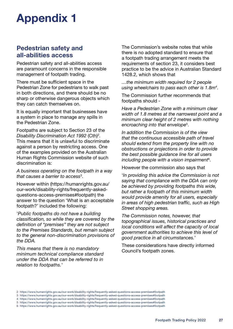# **Appendix 1**

### **Pedestrian safety and all-abilities access**

Pedestrian safety and all-abilities access are paramount concerns in the responsible management of footpath trading.

There must be sufficient space in the Pedestrian Zone for pedestrians to walk past in both directions, and there should be no sharp or otherwise dangerous objects which they can catch themselves on.

It is equally important that businesses have a system in place to manage any spills in the Pedestrian Zone.

Footpaths are subject to Section 23 of the *Disability Discrimination Act 1992* (Cth)2 . This means that it is unlawful to discriminate against a person by restricting access. One of the examples provided on the Australian Human Rights Commission website of such discrimination is:

*A business operating on the footpath in a way that causes a barrier to access*<sup>3</sup> .

However within (https://humanrights.gov.au/ our-work/disability-rights/frequently-askedquestions-access-premises#footpath) the answer to the question 'What is an acceptable footpath?' included the following:

'*Public footpaths do not have a building classification, so while they are covered by the definition of "premises" they are not subject to the Premises Standards, but remain subject to the general non-discrimination provisions of the DDA.*

*This means that there is no mandatory minimum technical compliance standard under the DDA that can be referred to in relation to footpaths.*'

The Commission's website notes that while there is no adopted standard to ensure that a footpath trading arrangement meets the requirements of section 23, it considers best practice to be the advice in Australian Standard 1428.2, which shows that

*…the minimum width required for 2 people using wheelchairs to pass each other is 1.8m4* .

The Commission further recommends that footpaths should -

*Have a Pedestrian Zone with a minimum clear width of 1.8 metres at the narrowest point and a minimum clear height of 2 metres with nothing encroaching into that envelope*<sup>5</sup> .

*In addition the Commission is of the view that the continuous accessible path of travel should extend from the property line with no obstructions or projections in order to provide the best possible guidance line for all users including people with a vision impairment*<sup>6</sup> .

However the commission also says that

'*In providing this advice the Commission is not saying that compliance with the DDA can only be achieved by providing footpaths this wide, but rather a footpath of this minimum width would provide amenity for all users, especially in areas of high pedestrian traffic, such as High Street shopping areas.*

*The Commission notes, however, that topographical issues, historical practices and local conditions will affect the capacity of local government authorities to achieve this level of good practice in all circumstances.*'

These considerations have directly informed Council's footpath zones.

<sup>2</sup> https://www.humanrights.gov.au/our-work/disability-rights/frequently-asked-questions-access-premises#footpath

<sup>3</sup> https://www.humanrights.gov.au/our-work/disability-rights/frequently-asked-questions-access-premises#footpath

<sup>4</sup> https://www.humanrights.gov.au/our-work/disability-rights/frequently-asked-questions-access-premises#footpath

<sup>5</sup> https://www.humanrights.gov.au/our-work/disability-rights/frequently-asked-questions-access-premises#footpath

<sup>6</sup> https://www.humanrights.gov.au/our-work/disability-rights/frequently-asked-questions-access-premises#footpath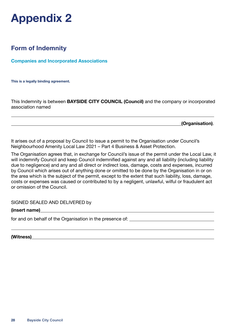

# **Form of Indemnity**

**Companies and Incorporated Associations**

**This is a legally binding agreement.**

This Indemnity is between **BAYSIDE CITY COUNCIL (Council)** and the company or incorporated association named

**(Organisation)**.

It arises out of a proposal by Council to issue a permit to the Organisation under Council's Neighbourhood Amenity Local Law 2021 – Part 4 Business & Asset Protection.

The Organisation agrees that, in exchange for Council's issue of the permit under the Local Law, it will indemnify Council and keep Council indemnified against any and all liability (including liability due to negligence) and any and all direct or indirect loss, damage, costs and expenses, incurred by Council which arises out of anything done or omitted to be done by the Organisation in or on the area which is the subject of the permit, except to the extent that such liability, loss, damage, costs or expenses was caused or contributed to by a negligent, unlawful, wilful or fraudulent act or omission of the Council.

#### SIGNED SEALED AND DELIVERED by

**(insert name)**

for and on behalf of the Organisation in the presence of:

**(Witness)**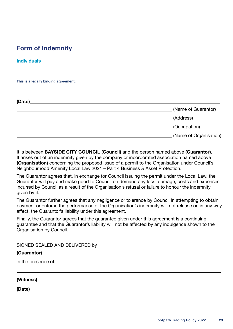# **Form of Indemnity**

**Individuals**

**(Date)**

**This is a legally binding agreement.**

|  | (Name of Guarantor)    |
|--|------------------------|
|  | (Address)              |
|  | (Occupation)           |
|  | (Name of Organisation) |

It is between **BAYSIDE CITY COUNCIL (Council)** and the person named above **(Guarantor)**. It arises out of an indemnity given by the company or incorporated association named above **(Organisation)** concerning the proposed issue of a permit to the Organisation under Council's Neighbourhood Amenity Local Law 2021 – Part 4 Business & Asset Protection.

The Guarantor agrees that, in exchange for Council issuing the permit under the Local Law, the Guarantor will pay and make good to Council on demand any loss, damage, costs and expenses incurred by Council as a result of the Organisation's refusal or failure to honour the indemnity given by it.

The Guarantor further agrees that any negligence or tolerance by Council in attempting to obtain payment or enforce the performance of the Organisation's indemnity will not release or, in any way affect, the Guarantor's liability under this agreement.

Finally, the Guarantor agrees that the guarantee given under this agreement is a continuing guarantee and that the Guarantor's liability will not be affected by any indulgence shown to the Organisation by Council.

| SIGNED SEALED AND DELIVERED by |  |
|--------------------------------|--|
|                                |  |
|                                |  |
|                                |  |
| (Date)                         |  |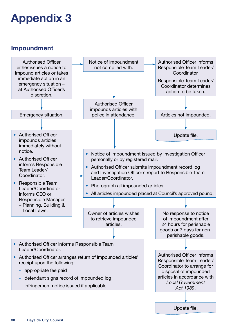# **Appendix 3**

# **Impoundment**